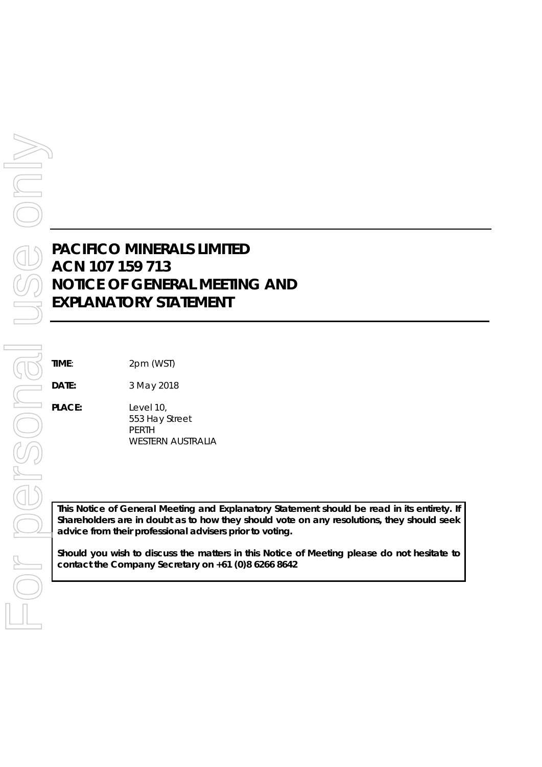# **PACIFICO MINERALS LIMITED ACN 107 159 713 NOTICE OF GENERAL MEETING AND EXPLANATORY STATEMENT**

**DATE:** 3 May 2018

**PLACE:** Level 10, 553 Hay Street PERTH WESTERN AUSTRALIA

*This Notice of General Meeting and Explanatory Statement should be read in its entirety. If Shareholders are in doubt as to how they should vote on any resolutions, they should seek advice from their professional advisers prior to voting.*

*Should you wish to discuss the matters in this Notice of Meeting please do not hesitate to contact the Company Secretary on +61 (0)8 6266 8642*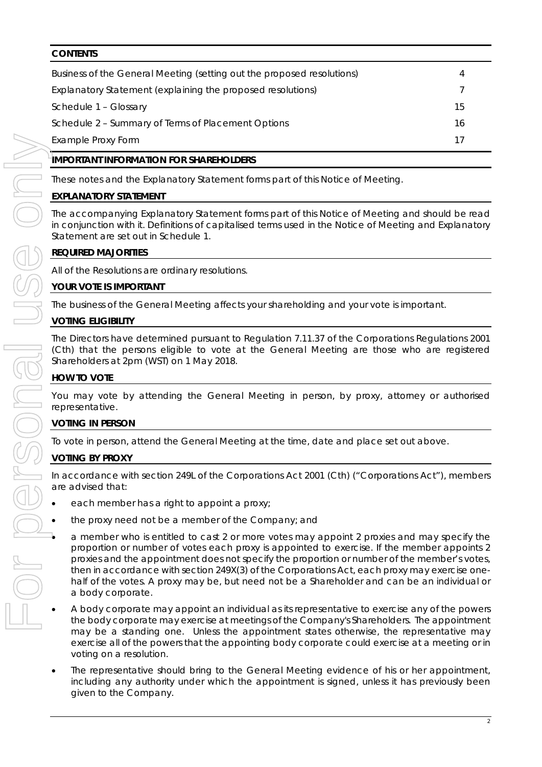# **CONTENTS**

| Business of the General Meeting (setting out the proposed resolutions) | 4  |  |
|------------------------------------------------------------------------|----|--|
| Explanatory Statement (explaining the proposed resolutions)            |    |  |
| Schedule 1 - Glossary                                                  | 15 |  |
| Schedule 2 – Summary of Terms of Placement Options                     | 16 |  |
| Example Proxy Form                                                     | 17 |  |

# **IMPORTANT INFORMATION FOR SHAREHOLDERS**

These notes and the Explanatory Statement forms part of this Notice of Meeting.

# **EXPLANATORY STATEMENT**

The accompanying Explanatory Statement forms part of this Notice of Meeting and should be read in conjunction with it. Definitions of capitalised terms used in the Notice of Meeting and Explanatory Statement are set out in Schedule 1.

# **REQUIRED MAJORITIES**

All of the Resolutions are ordinary resolutions.

# **YOUR VOTE IS IMPORTANT**

The business of the General Meeting affects your shareholding and your vote is important.

# **VOTING ELIGIBILITY**

The Directors have determined pursuant to Regulation 7.11.37 of the *Corporations Regulations 2001* (Cth) that the persons eligible to vote at the General Meeting are those who are registered Shareholders at 2pm (WST) on 1 May 2018.

# **HOW TO VOTE**

You may vote by attending the General Meeting in person, by proxy, attorney or authorised representative.

# **VOTING IN PERSON**

To vote in person, attend the General Meeting at the time, date and place set out above.

# **VOTING BY PROXY**

In accordance with section 249L of the Corporations Act 2001 (Cth) ("Corporations Act"), members are advised that:

- each member has a right to appoint a proxy;
- the proxy need not be a member of the Company; and
- a member who is entitled to cast 2 or more votes may appoint 2 proxies and may specify the proportion or number of votes each proxy is appointed to exercise. If the member appoints 2 proxies and the appointment does not specify the proportion or number of the member's votes, then in accordance with section 249X(3) of the Corporations Act, each proxy may exercise onehalf of the votes. A proxy may be, but need not be a Shareholder and can be an individual or a body corporate.
- A body corporate may appoint an individual as its representative to exercise any of the powers the body corporate may exercise at meetings of the Company's Shareholders. The appointment may be a standing one. Unless the appointment states otherwise, the representative may exercise all of the powers that the appointing body corporate could exercise at a meeting or in voting on a resolution.
- The representative should bring to the General Meeting evidence of his or her appointment, including any authority under which the appointment is signed, unless it has previously been given to the Company.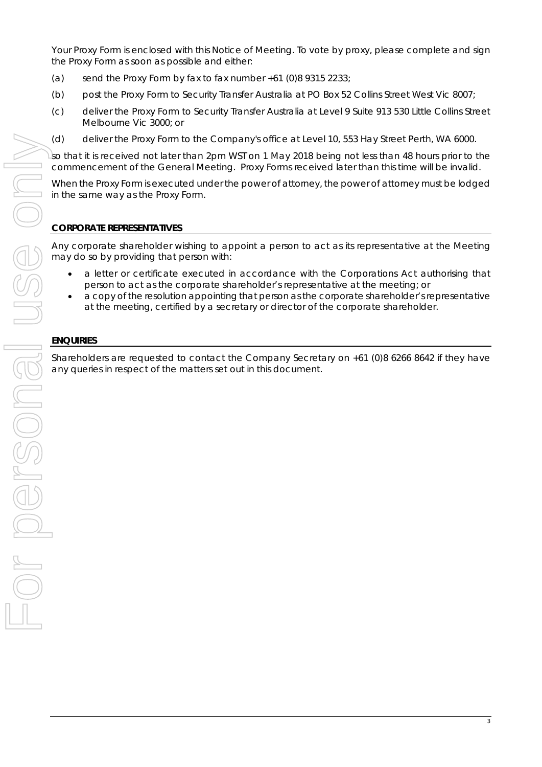Your Proxy Form is enclosed with this Notice of Meeting. To vote by proxy, please complete and sign the Proxy Form as soon as possible and either:

- (a) send the Proxy Form by fax to fax number  $+61$  (0)8 9315 2233;
- (b) post the Proxy Form to Security Transfer Australia at PO Box 52 Collins Street West Vic 8007;
- (c) deliver the Proxy Form to Security Transfer Australia at Level 9 Suite 913 530 Little Collins Street Melbourne Vic 3000; or
- (d) deliver the Proxy Form to the Company's office at Level 10, 553 Hay Street Perth, WA 6000.

so that it is received not later than 2pm WST on 1 May 2018 being not less than 48 hours prior to the commencement of the General Meeting. Proxy Forms received later than this time will be invalid.

When the Proxy Form is executed under the power of attorney, the power of attorney must be lodged in the same way as the Proxy Form.

# **CORPORATE REPRESENTATIVES**

Any corporate shareholder wishing to appoint a person to act as its representative at the Meeting may do so by providing that person with:

- a letter or certificate executed in accordance with the Corporations Act authorising that person to act as the corporate shareholder's representative at the meeting; or
- a copy of the resolution appointing that person as the corporate shareholder's representative at the meeting, certified by a secretary or director of the corporate shareholder.

# **ENQUIRIES**

Shareholders are requested to contact the Company Secretary on +61 (0)8 6266 8642 if they have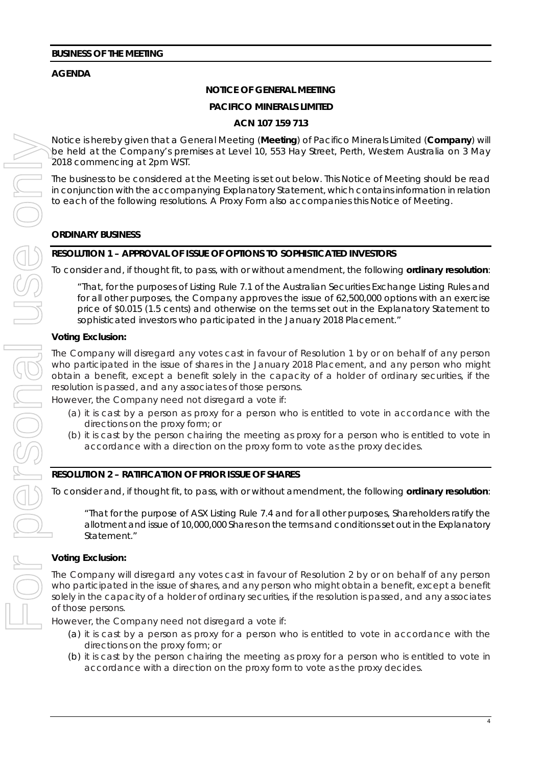# **AGENDA**

# **NOTICE OF GENERAL MEETING**

### **PACIFICO MINERALS LIMITED**

### **ACN 107 159 713**

Notice is hereby given that a General Meeting (**Meeting**) of Pacifico Minerals Limited (**Company**) will be held at the Company's premises at Level 10, 553 Hay Street, Perth, Western Australia on 3 May 2018 commencing at 2pm WST.

The business to be considered at the Meeting is set out below. This Notice of Meeting should be read in conjunction with the accompanying Explanatory Statement, which contains information in relation to each of the following resolutions. A Proxy Form also accompanies this Notice of Meeting.

### **ORDINARY BUSINESS**

### **RESOLUTION 1 – APPROVAL OF ISSUE OF OPTIONS TO SOPHISTICATED INVESTORS**

To consider and, if thought fit, to pass, with or without amendment, the following **ordinary resolution**:

*"That, for the purposes of Listing Rule 7.1 of the Australian Securities Exchange Listing Rules and for all other purposes, the Company approves the issue of 62,500,000 options with an exercise price of \$0.015 (1.5 cents) and otherwise on the terms set out in the Explanatory Statement to sophisticated investors who participated in the January 2018 Placement."*

### **Voting Exclusion:**

The Company will disregard any votes cast in favour of Resolution 1 by or on behalf of any person who participated in the issue of shares in the January 2018 Placement, and any person who might obtain a benefit, except a benefit solely in the capacity of a holder of ordinary securities, if the resolution is passed, and any associates of those persons.

However, the Company need not disregard a vote if:

- (a) it is cast by a person as proxy for a person who is entitled to vote in accordance with the directions on the proxy form; or
- (b) it is cast by the person chairing the meeting as proxy for a person who is entitled to vote in accordance with a direction on the proxy form to vote as the proxy decides.

#### **RESOLUTION 2 – RATIFICATION OF PRIOR ISSUE OF SHARES**

To consider and, if thought fit, to pass, with or without amendment, the following **ordinary resolution**:

*"That for the purpose of ASX Listing Rule 7.4 and for all other purposes, Shareholders ratify the allotment and issue of 10,000,000 Shares on the terms and conditions set out in the Explanatory Statement."*

#### **Voting Exclusion:**

The Company will disregard any votes cast in favour of Resolution 2 by or on behalf of any person who participated in the issue of shares, and any person who might obtain a benefit, except a benefit solely in the capacity of a holder of ordinary securities, if the resolution is passed, and any associates of those persons.

However, the Company need not disregard a vote if:

- (a) it is cast by a person as proxy for a person who is entitled to vote in accordance with the directions on the proxy form; or
- (b) it is cast by the person chairing the meeting as proxy for a person who is entitled to vote in accordance with a direction on the proxy form to vote as the proxy decides.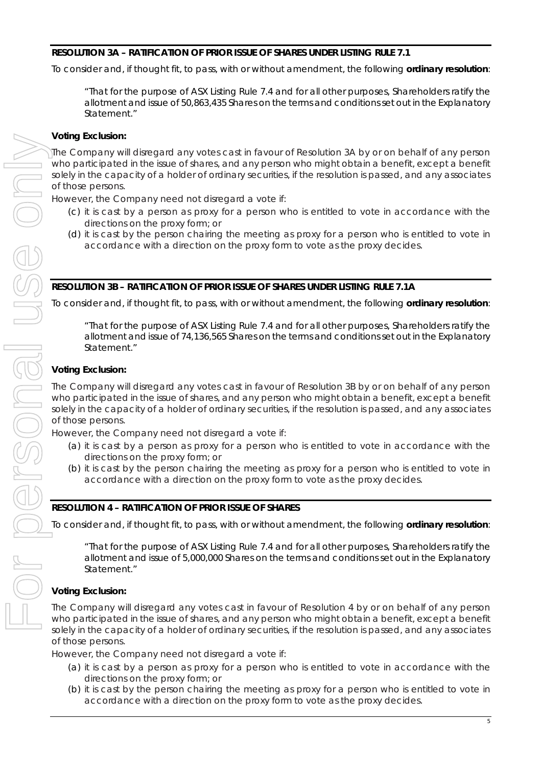# **RESOLUTION 3A – RATIFICATION OF PRIOR ISSUE OF SHARES UNDER LISTING RULE 7.1**

To consider and, if thought fit, to pass, with or without amendment, the following **ordinary resolution**:

*"That for the purpose of ASX Listing Rule 7.4 and for all other purposes, Shareholders ratify the allotment and issue of 50,863,435 Shares on the terms and conditions set out in the Explanatory Statement."*

# **Voting Exclusion:**

The Company will disregard any votes cast in favour of Resolution 3A by or on behalf of any person who participated in the issue of shares, and any person who might obtain a benefit, except a benefit solely in the capacity of a holder of ordinary securities, if the resolution is passed, and any associates of those persons.

However, the Company need not disregard a vote if:

- (c) it is cast by a person as proxy for a person who is entitled to vote in accordance with the directions on the proxy form; or
- (d) it is cast by the person chairing the meeting as proxy for a person who is entitled to vote in accordance with a direction on the proxy form to vote as the proxy decides.

# **RESOLUTION 3B – RATIFICATION OF PRIOR ISSUE OF SHARES UNDER LISTING RULE 7.1A**

To consider and, if thought fit, to pass, with or without amendment, the following **ordinary resolution**:

*"That for the purpose of ASX Listing Rule 7.4 and for all other purposes, Shareholders ratify the allotment and issue of 74,136,565 Shares on the terms and conditions set out in the Explanatory Statement."*

# **Voting Exclusion:**

The Company will disregard any votes cast in favour of Resolution 3B by or on behalf of any person who participated in the issue of shares, and any person who might obtain a benefit, except a benefit solely in the capacity of a holder of ordinary securities, if the resolution is passed, and any associates of those persons.

However, the Company need not disregard a vote if:

- (a) it is cast by a person as proxy for a person who is entitled to vote in accordance with the directions on the proxy form; or
- (b) it is cast by the person chairing the meeting as proxy for a person who is entitled to vote in accordance with a direction on the proxy form to vote as the proxy decides.

# **RESOLUTION 4 – RATIFICATION OF PRIOR ISSUE OF SHARES**

To consider and, if thought fit, to pass, with or without amendment, the following **ordinary resolution**:

*"That for the purpose of ASX Listing Rule 7.4 and for all other purposes, Shareholders ratify the allotment and issue of 5,000,000 Shares on the terms and conditions set out in the Explanatory Statement."*

# **Voting Exclusion:**

The Company will disregard any votes cast in favour of Resolution 4 by or on behalf of any person who participated in the issue of shares, and any person who might obtain a benefit, except a benefit solely in the capacity of a holder of ordinary securities, if the resolution is passed, and any associates of those persons.

However, the Company need not disregard a vote if:

- (a) it is cast by a person as proxy for a person who is entitled to vote in accordance with the directions on the proxy form; or
- (b) it is cast by the person chairing the meeting as proxy for a person who is entitled to vote in accordance with a direction on the proxy form to vote as the proxy decides.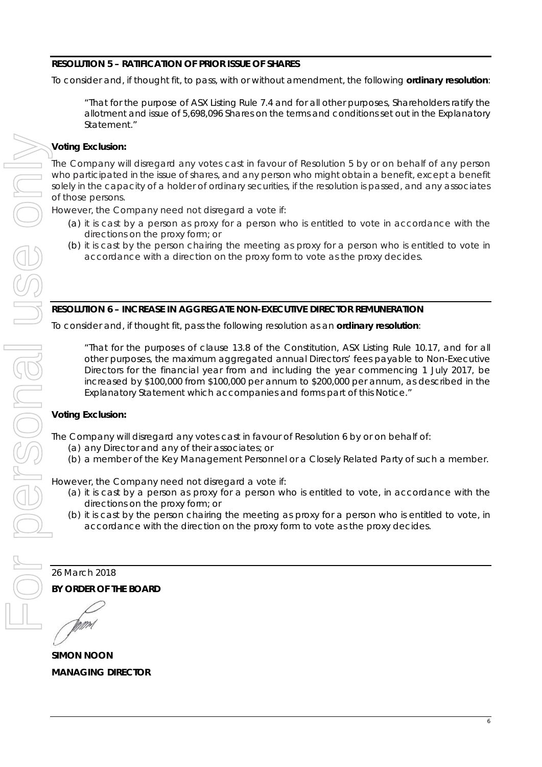# **RESOLUTION 5 – RATIFICATION OF PRIOR ISSUE OF SHARES**

To consider and, if thought fit, to pass, with or without amendment, the following **ordinary resolution**:

*"That for the purpose of ASX Listing Rule 7.4 and for all other purposes, Shareholders ratify the allotment and issue of 5,698,096 Shares on the terms and conditions set out in the Explanatory Statement."*

# **Voting Exclusion:**

The Company will disregard any votes cast in favour of Resolution 5 by or on behalf of any person who participated in the issue of shares, and any person who might obtain a benefit, except a benefit solely in the capacity of a holder of ordinary securities, if the resolution is passed, and any associates of those persons.

However, the Company need not disregard a vote if:

- (a) it is cast by a person as proxy for a person who is entitled to vote in accordance with the directions on the proxy form; or
- (b) it is cast by the person chairing the meeting as proxy for a person who is entitled to vote in accordance with a direction on the proxy form to vote as the proxy decides.

# **RESOLUTION 6 – INCREASE IN AGGREGATE NON-EXECUTIVE DIRECTOR REMUNERATION**

To consider and, if thought fit, pass the following resolution as an **ordinary resolution**:

*"That for the purposes of clause 13.8 of the Constitution, ASX Listing Rule 10.17, and for all other purposes, the maximum aggregated annual Directors' fees payable to Non-Executive Directors for the financial year from and including the year commencing 1 July 2017, be increased by \$100,000 from \$100,000 per annum to \$200,000 per annum, as described in the Explanatory Statement which accompanies and forms part of this Notice."* 

# **Voting Exclusion:**

The Company will disregard any votes cast in favour of Resolution 6 by or on behalf of:

- (a) any Director and any of their associates; or
- (b) a member of the Key Management Personnel or a Closely Related Party of such a member.

However, the Company need not disregard a vote if:

- (a) it is cast by a person as proxy for a person who is entitled to vote, in accordance with the directions on the proxy form; or
- (b) it is cast by the person chairing the meeting as proxy for a person who is entitled to vote, in accordance with the direction on the proxy form to vote as the proxy decides.

26 March 2018

**BY ORDER OF THE BOARD** 

**SIMON NOON**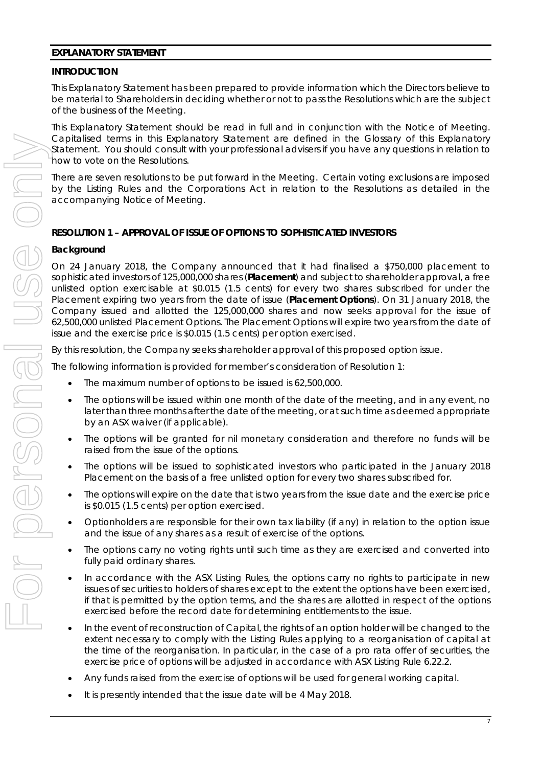#### **EXPLANATORY STATEMENT**

#### **INTRODUCTION**

This Explanatory Statement has been prepared to provide information which the Directors believe to be material to Shareholders in deciding whether or not to pass the Resolutions which are the subject of the business of the Meeting.

This Explanatory Statement should be read in full and in conjunction with the Notice of Meeting. Capitalised terms in this Explanatory Statement are defined in the Glossary of this Explanatory Statement. You should consult with your professional advisers if you have any questions in relation to how to vote on the Resolutions.

There are seven resolutions to be put forward in the Meeting. Certain voting exclusions are imposed by the Listing Rules and the Corporations Act in relation to the Resolutions as detailed in the accompanying Notice of Meeting.

### **RESOLUTION 1 – APPROVAL OF ISSUE OF OPTIONS TO SOPHISTICATED INVESTORS**

#### **Background**

On 24 January 2018, the Company announced that it had finalised a \$750,000 placement to sophisticated investors of 125,000,000 shares (**Placement**) and subject to shareholder approval, a free unlisted option exercisable at \$0.015 (1.5 cents) for every two shares subscribed for under the Placement expiring two years from the date of issue (**Placement Options**). On 31 January 2018, the Company issued and allotted the 125,000,000 shares and now seeks approval for the issue of 62,500,000 unlisted Placement Options. The Placement Options will expire two years from the date of issue and the exercise price is \$0.015 (1.5 cents) per option exercised.

By this resolution, the Company seeks shareholder approval of this proposed option issue.

The following information is provided for member's consideration of Resolution 1:

- The maximum number of options to be issued is 62,500,000.
- The options will be issued within one month of the date of the meeting, and in any event, no later than three months after the date of the meeting, or at such time as deemed appropriate by an ASX waiver (if applicable).
- The options will be granted for nil monetary consideration and therefore no funds will be raised from the issue of the options.
- The options will be issued to sophisticated investors who participated in the January 2018 Placement on the basis of a free unlisted option for every two shares subscribed for.
- The options will expire on the date that is two years from the issue date and the exercise price is \$0.015 (1.5 cents) per option exercised.
- Optionholders are responsible for their own tax liability (if any) in relation to the option issue and the issue of any shares as a result of exercise of the options.
- The options carry no voting rights until such time as they are exercised and converted into fully paid ordinary shares.
- In accordance with the ASX Listing Rules, the options carry no rights to participate in new issues of securities to holders of shares except to the extent the options have been exercised, if that is permitted by the option terms, and the shares are allotted in respect of the options exercised before the record date for determining entitlements to the issue.
- In the event of reconstruction of Capital, the rights of an option holder will be changed to the extent necessary to comply with the Listing Rules applying to a reorganisation of capital at the time of the reorganisation. In particular, in the case of a pro rata offer of securities, the exercise price of options will be adjusted in accordance with ASX Listing Rule 6.22.2.
- Any funds raised from the exercise of options will be used for general working capital.
- It is presently intended that the issue date will be 4 May 2018.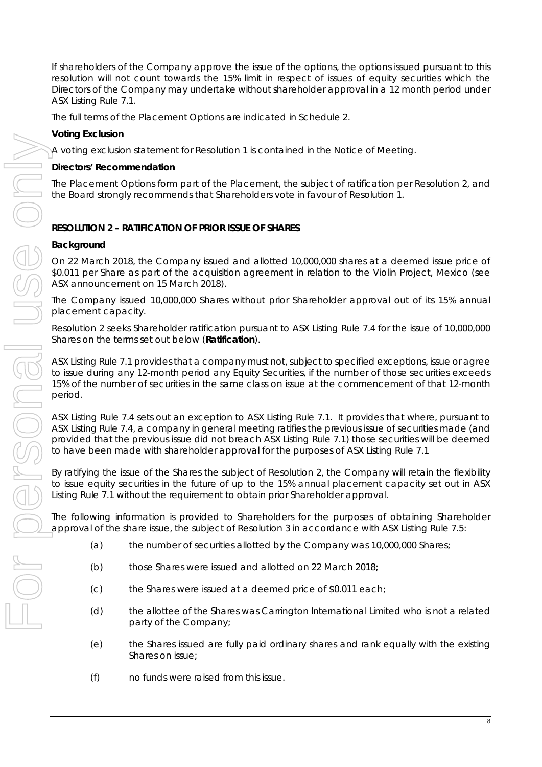If shareholders of the Company approve the issue of the options, the options issued pursuant to this resolution will not count towards the 15% limit in respect of issues of equity securities which the Directors of the Company may undertake without shareholder approval in a 12 month period under ASX Listing Rule 7.1.

The full terms of the Placement Options are indicated in Schedule 2.

# **Voting Exclusion**

A voting exclusion statement for Resolution 1 is contained in the Notice of Meeting.

### **Directors' Recommendation**

The Placement Options form part of the Placement, the subject of ratification per Resolution 2, and the Board strongly recommends that Shareholders vote in favour of Resolution 1.

# **RESOLUTION 2 – RATIFICATION OF PRIOR ISSUE OF SHARES**

#### **Background**

On 22 March 2018, the Company issued and allotted 10,000,000 shares at a deemed issue price of \$0.011 per Share as part of the acquisition agreement in relation to the Violin Project, Mexico (see ASX announcement on 15 March 2018).

The Company issued 10,000,000 Shares without prior Shareholder approval out of its 15% annual placement capacity.

Resolution 2 seeks Shareholder ratification pursuant to ASX Listing Rule 7.4 for the issue of 10,000,000 Shares on the terms set out below (**Ratification**).

ASX Listing Rule 7.1 provides that a company must not, subject to specified exceptions, issue or agree to issue during any 12-month period any Equity Securities, if the number of those securities exceeds 15% of the number of securities in the same class on issue at the commencement of that 12-month period.

ASX Listing Rule 7.4 sets out an exception to ASX Listing Rule 7.1. It provides that where, pursuant to ASX Listing Rule 7.4, a company in general meeting ratifies the previous issue of securities made (and provided that the previous issue did not breach ASX Listing Rule 7.1) those securities will be deemed to have been made with shareholder approval for the purposes of ASX Listing Rule 7.1

By ratifying the issue of the Shares the subject of Resolution 2, the Company will retain the flexibility to issue equity securities in the future of up to the 15% annual placement capacity set out in ASX Listing Rule 7.1 without the requirement to obtain prior Shareholder approval.

The following information is provided to Shareholders for the purposes of obtaining Shareholder approval of the share issue, the subject of Resolution 3 in accordance with ASX Listing Rule 7.5:

- (a) the number of securities allotted by the Company was 10,000,000 Shares;
- (b) those Shares were issued and allotted on 22 March 2018;
- (c) the Shares were issued at a deemed price of \$0.011 each;
- (d) the allottee of the Shares was Carrington International Limited who is not a related party of the Company;
- (e) the Shares issued are fully paid ordinary shares and rank equally with the existing Shares on issue;
- (f) no funds were raised from this issue.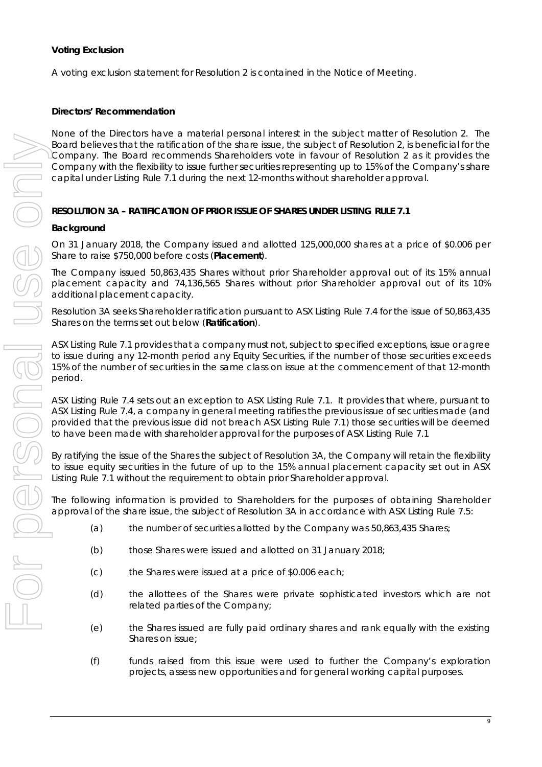A voting exclusion statement for Resolution 2 is contained in the Notice of Meeting.

### **Directors' Recommendation**

None of the Directors have a material personal interest in the subject matter of Resolution 2. The Board believes that the ratification of the share issue, the subject of Resolution 2, is beneficial for the Company. The Board recommends Shareholders vote in favour of Resolution 2 as it provides the Company with the flexibility to issue further securities representing up to 15% of the Company's share capital under Listing Rule 7.1 during the next 12-months without shareholder approval.

# **RESOLUTION 3A – RATIFICATION OF PRIOR ISSUE OF SHARES UNDER LISTING RULE 7.1**

### **Background**

On 31 January 2018, the Company issued and allotted 125,000,000 shares at a price of \$0.006 per Share to raise \$750,000 before costs (**Placement**).

The Company issued 50,863,435 Shares without prior Shareholder approval out of its 15% annual placement capacity and 74,136,565 Shares without prior Shareholder approval out of its 10% additional placement capacity.

Resolution 3A seeks Shareholder ratification pursuant to ASX Listing Rule 7.4 for the issue of 50,863,435 Shares on the terms set out below (**Ratification**).

ASX Listing Rule 7.1 provides that a company must not, subject to specified exceptions, issue or agree to issue during any 12-month period any Equity Securities, if the number of those securities exceeds 15% of the number of securities in the same class on issue at the commencement of that 12-month period.

ASX Listing Rule 7.4 sets out an exception to ASX Listing Rule 7.1. It provides that where, pursuant to ASX Listing Rule 7.4, a company in general meeting ratifies the previous issue of securities made (and provided that the previous issue did not breach ASX Listing Rule 7.1) those securities will be deemed to have been made with shareholder approval for the purposes of ASX Listing Rule 7.1

By ratifying the issue of the Shares the subject of Resolution 3A, the Company will retain the flexibility to issue equity securities in the future of up to the 15% annual placement capacity set out in ASX Listing Rule 7.1 without the requirement to obtain prior Shareholder approval.

The following information is provided to Shareholders for the purposes of obtaining Shareholder approval of the share issue, the subject of Resolution 3A in accordance with ASX Listing Rule 7.5:

- (a) the number of securities allotted by the Company was 50,863,435 Shares;
	- (b) those Shares were issued and allotted on 31 January 2018;
- (c) the Shares were issued at a price of \$0.006 each;
- (d) the allottees of the Shares were private sophisticated investors which are not related parties of the Company;
- (e) the Shares issued are fully paid ordinary shares and rank equally with the existing Shares on issue;
- (f) funds raised from this issue were used to further the Company's exploration projects, assess new opportunities and for general working capital purposes.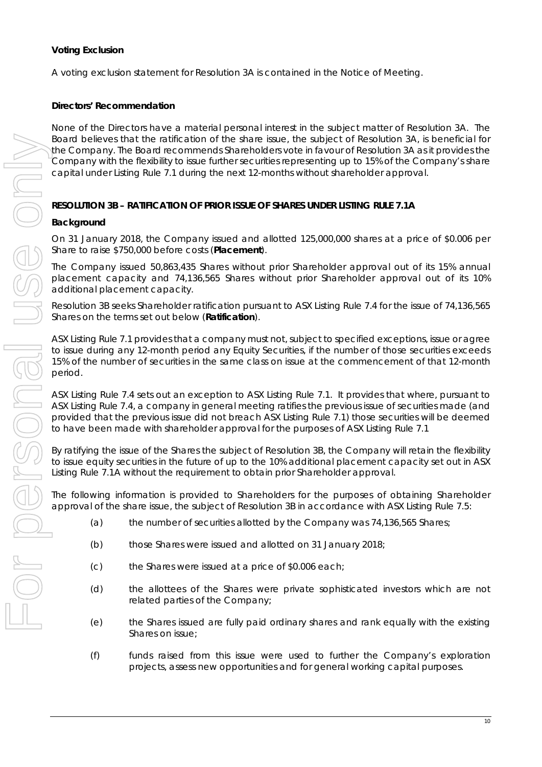A voting exclusion statement for Resolution 3A is contained in the Notice of Meeting.

# **Directors' Recommendation**

None of the Directors have a material personal interest in the subject matter of Resolution 3A. The Board believes that the ratification of the share issue, the subject of Resolution 3A, is beneficial for the Company. The Board recommends Shareholders vote in favour of Resolution 3A as it provides the Company with the flexibility to issue further securities representing up to 15% of the Company's share capital under Listing Rule 7.1 during the next 12-months without shareholder approval.

# **RESOLUTION 3B – RATIFICATION OF PRIOR ISSUE OF SHARES UNDER LISTING RULE 7.1A**

# **Background**

On 31 January 2018, the Company issued and allotted 125,000,000 shares at a price of \$0.006 per Share to raise \$750,000 before costs (**Placement**).

The Company issued 50,863,435 Shares without prior Shareholder approval out of its 15% annual placement capacity and 74,136,565 Shares without prior Shareholder approval out of its 10% additional placement capacity.

Resolution 3B seeks Shareholder ratification pursuant to ASX Listing Rule 7.4 for the issue of 74,136,565 Shares on the terms set out below (**Ratification**).

ASX Listing Rule 7.1 provides that a company must not, subject to specified exceptions, issue or agree to issue during any 12-month period any Equity Securities, if the number of those securities exceeds 15% of the number of securities in the same class on issue at the commencement of that 12-month period.

ASX Listing Rule 7.4 sets out an exception to ASX Listing Rule 7.1. It provides that where, pursuant to ASX Listing Rule 7.4, a company in general meeting ratifies the previous issue of securities made (and provided that the previous issue did not breach ASX Listing Rule 7.1) those securities will be deemed to have been made with shareholder approval for the purposes of ASX Listing Rule 7.1

By ratifying the issue of the Shares the subject of Resolution 3B, the Company will retain the flexibility to issue equity securities in the future of up to the 10% additional placement capacity set out in ASX Listing Rule 7.1A without the requirement to obtain prior Shareholder approval.

The following information is provided to Shareholders for the purposes of obtaining Shareholder approval of the share issue, the subject of Resolution 3B in accordance with ASX Listing Rule 7.5:

- (a) the number of securities allotted by the Company was 74,136,565 Shares;
- (b) those Shares were issued and allotted on 31 January 2018;
- (c) the Shares were issued at a price of \$0.006 each;
- (d) the allottees of the Shares were private sophisticated investors which are not related parties of the Company;
- (e) the Shares issued are fully paid ordinary shares and rank equally with the existing Shares on issue;
- (f) funds raised from this issue were used to further the Company's exploration projects, assess new opportunities and for general working capital purposes.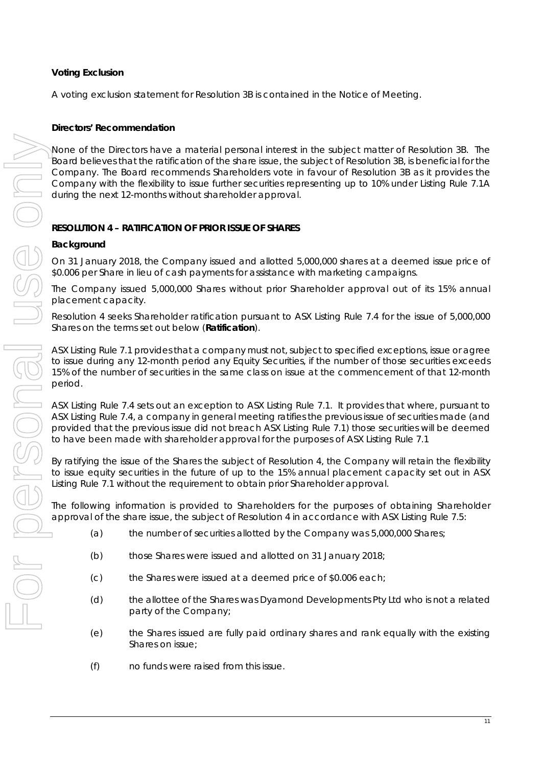A voting exclusion statement for Resolution 3B is contained in the Notice of Meeting.

# **Directors' Recommendation**

None of the Directors have a material personal interest in the subject matter of Resolution 3B. The Board believes that the ratification of the share issue, the subject of Resolution 3B, is beneficial for the Company. The Board recommends Shareholders vote in favour of Resolution 3B as it provides the Company with the flexibility to issue further securities representing up to 10% under Listing Rule 7.1A during the next 12-months without shareholder approval.

# **RESOLUTION 4 – RATIFICATION OF PRIOR ISSUE OF SHARES**

# **Background**

On 31 January 2018, the Company issued and allotted 5,000,000 shares at a deemed issue price of \$0.006 per Share in lieu of cash payments for assistance with marketing campaigns.

The Company issued 5,000,000 Shares without prior Shareholder approval out of its 15% annual placement capacity.

Resolution 4 seeks Shareholder ratification pursuant to ASX Listing Rule 7.4 for the issue of 5,000,000 Shares on the terms set out below (**Ratification**).

ASX Listing Rule 7.1 provides that a company must not, subject to specified exceptions, issue or agree to issue during any 12-month period any Equity Securities, if the number of those securities exceeds 15% of the number of securities in the same class on issue at the commencement of that 12-month period.

ASX Listing Rule 7.4 sets out an exception to ASX Listing Rule 7.1. It provides that where, pursuant to ASX Listing Rule 7.4, a company in general meeting ratifies the previous issue of securities made (and provided that the previous issue did not breach ASX Listing Rule 7.1) those securities will be deemed to have been made with shareholder approval for the purposes of ASX Listing Rule 7.1

By ratifying the issue of the Shares the subject of Resolution 4, the Company will retain the flexibility to issue equity securities in the future of up to the 15% annual placement capacity set out in ASX Listing Rule 7.1 without the requirement to obtain prior Shareholder approval.

The following information is provided to Shareholders for the purposes of obtaining Shareholder approval of the share issue, the subject of Resolution 4 in accordance with ASX Listing Rule 7.5:

- (a) the number of securities allotted by the Company was 5,000,000 Shares;
- (b) those Shares were issued and allotted on 31 January 2018;
- (c) the Shares were issued at a deemed price of \$0.006 each;
- (d) the allottee of the Shares was Dyamond Developments Pty Ltd who is not a related party of the Company;
- (e) the Shares issued are fully paid ordinary shares and rank equally with the existing Shares on issue;
- (f) no funds were raised from this issue.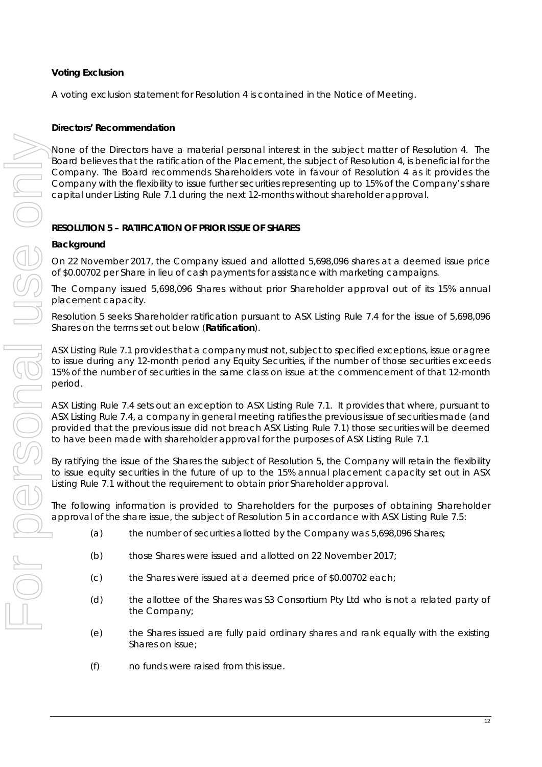A voting exclusion statement for Resolution 4 is contained in the Notice of Meeting.

# **Directors' Recommendation**

None of the Directors have a material personal interest in the subject matter of Resolution 4. The Board believes that the ratification of the Placement, the subject of Resolution 4, is beneficial for the Company. The Board recommends Shareholders vote in favour of Resolution 4 as it provides the Company with the flexibility to issue further securities representing up to 15% of the Company's share capital under Listing Rule 7.1 during the next 12-months without shareholder approval.

# **RESOLUTION 5 – RATIFICATION OF PRIOR ISSUE OF SHARES**

# **Background**

On 22 November 2017, the Company issued and allotted 5,698,096 shares at a deemed issue price of \$0.00702 per Share in lieu of cash payments for assistance with marketing campaigns.

The Company issued 5,698,096 Shares without prior Shareholder approval out of its 15% annual placement capacity.

Resolution 5 seeks Shareholder ratification pursuant to ASX Listing Rule 7.4 for the issue of 5,698,096 Shares on the terms set out below (**Ratification**).

ASX Listing Rule 7.1 provides that a company must not, subject to specified exceptions, issue or agree to issue during any 12-month period any Equity Securities, if the number of those securities exceeds 15% of the number of securities in the same class on issue at the commencement of that 12-month period.

ASX Listing Rule 7.4 sets out an exception to ASX Listing Rule 7.1. It provides that where, pursuant to ASX Listing Rule 7.4, a company in general meeting ratifies the previous issue of securities made (and provided that the previous issue did not breach ASX Listing Rule 7.1) those securities will be deemed to have been made with shareholder approval for the purposes of ASX Listing Rule 7.1

By ratifying the issue of the Shares the subject of Resolution 5, the Company will retain the flexibility to issue equity securities in the future of up to the 15% annual placement capacity set out in ASX Listing Rule 7.1 without the requirement to obtain prior Shareholder approval.

The following information is provided to Shareholders for the purposes of obtaining Shareholder approval of the share issue, the subject of Resolution 5 in accordance with ASX Listing Rule 7.5:

- (a) the number of securities allotted by the Company was 5,698,096 Shares;
- (b) those Shares were issued and allotted on 22 November 2017;
- (c) the Shares were issued at a deemed price of \$0.00702 each;
- (d) the allottee of the Shares was S3 Consortium Pty Ltd who is not a related party of the Company;
- (e) the Shares issued are fully paid ordinary shares and rank equally with the existing Shares on issue;
- (f) no funds were raised from this issue.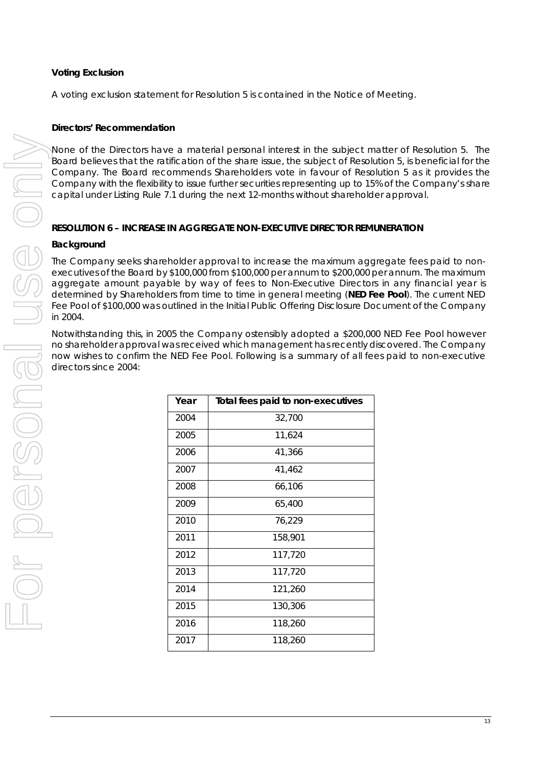A voting exclusion statement for Resolution 5 is contained in the Notice of Meeting.

### **Directors' Recommendation**

None of the Directors have a material personal interest in the subject matter of Resolution 5. The Board believes that the ratification of the share issue, the subject of Resolution 5, is beneficial for the Company. The Board recommends Shareholders vote in favour of Resolution 5 as it provides the Company with the flexibility to issue further securities representing up to 15% of the Company's share capital under Listing Rule 7.1 during the next 12-months without shareholder approval.

### **RESOLUTION 6 – INCREASE IN AGGREGATE NON-EXECUTIVE DIRECTOR REMUNERATION**

#### **Background**

The Company seeks shareholder approval to increase the maximum aggregate fees paid to nonexecutives of the Board by \$100,000 from \$100,000 per annum to \$200,000 per annum. The maximum aggregate amount payable by way of fees to Non-Executive Directors in any financial year is determined by Shareholders from time to time in general meeting (**NED Fee Pool**). The current NED Fee Pool of \$100,000 was outlined in the Initial Public Offering Disclosure Document of the Company in 2004.

Notwithstanding this, in 2005 the Company ostensibly adopted a \$200,000 NED Fee Pool however no shareholder approval was received which management has recently discovered. The Company now wishes to confirm the NED Fee Pool. Following is a summary of all fees paid to non-executive directors since 2004:

| Year | Total fees paid to non-executives |
|------|-----------------------------------|
| 2004 | 32,700                            |
| 2005 | 11,624                            |
| 2006 | 41,366                            |
| 2007 | 41,462                            |
| 2008 | 66,106                            |
| 2009 | 65,400                            |
| 2010 | 76,229                            |
| 2011 | 158,901                           |
| 2012 | 117,720                           |
| 2013 | 117,720                           |
| 2014 | 121,260                           |
| 2015 | 130,306                           |
| 2016 | 118,260                           |
| 2017 | 118,260                           |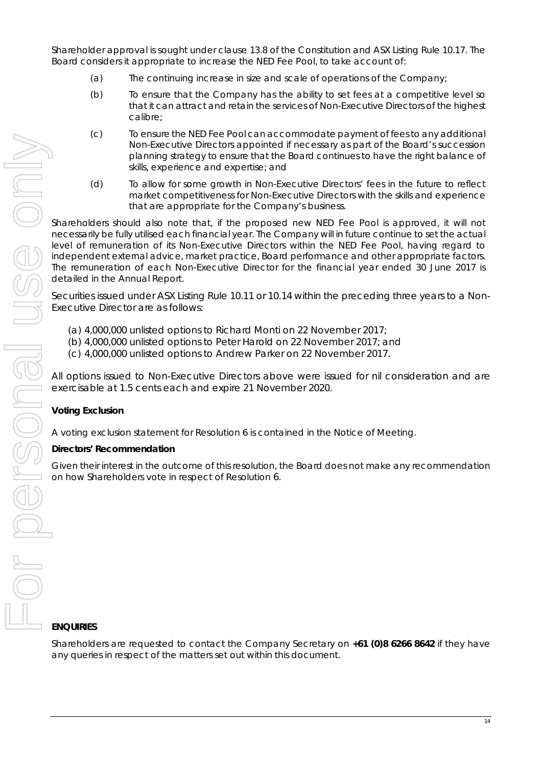Shareholder approval is sought under clause 13.8 of the Constitution and ASX Listing Rule 10.17. The Board considers it appropriate to increase the NED Fee Pool, to take account of:

- (a) The continuing increase in size and scale of operations of the Company;
- (b) To ensure that the Company has the ability to set fees at a competitive level so that it can attract and retain the services of Non-Executive Directors of the highest calibre;
- (c) To ensure the NED Fee Pool can accommodate payment of fees to any additional Non-Executive Directors appointed if necessary as part of the Board's succession planning strategy to ensure that the Board continues to have the right balance of skills, experience and expertise; and
- (d) To allow for some growth in Non-Executive Directors' fees in the future to reflect market competitiveness for Non-Executive Directors with the skills and experience that are appropriate for the Company's business.

Shareholders should also note that, if the proposed new NED Fee Pool is approved, it will not necessarily be fully utilised each financial year. The Company will in future continue to set the actual level of remuneration of its Non-Executive Directors within the NED Fee Pool, having regard to independent external advice, market practice, Board performance and other appropriate factors. The remuneration of each Non-Executive Director for the financial year ended 30 June 2017 is detailed in the Annual Report.

Securities issued under ASX Listing Rule 10.11 or 10.14 within the preceding three years to a Non-Executive Director are as follows:

- (a) 4,000,000 unlisted options to Richard Monti on 22 November 2017;
- (b) 4,000,000 unlisted options to Peter Harold on 22 November 2017; and
- (c) 4,000,000 unlisted options to Andrew Parker on 22 November 2017.

All options issued to Non-Executive Directors above were issued for nil consideration and are exercisable at 1.5 cents each and expire 21 November 2020.

# **Voting Exclusion**

A voting exclusion statement for Resolution 6 is contained in the Notice of Meeting.

# **Directors' Recommendation**

Given their interest in the outcome of this resolution, the Board does not make any recommendation on how Shareholders vote in respect of Resolution 6.

# **ENQUIRIES**

Shareholders are requested to contact the Company Secretary on **+61 (0)8 6266 8642** if they have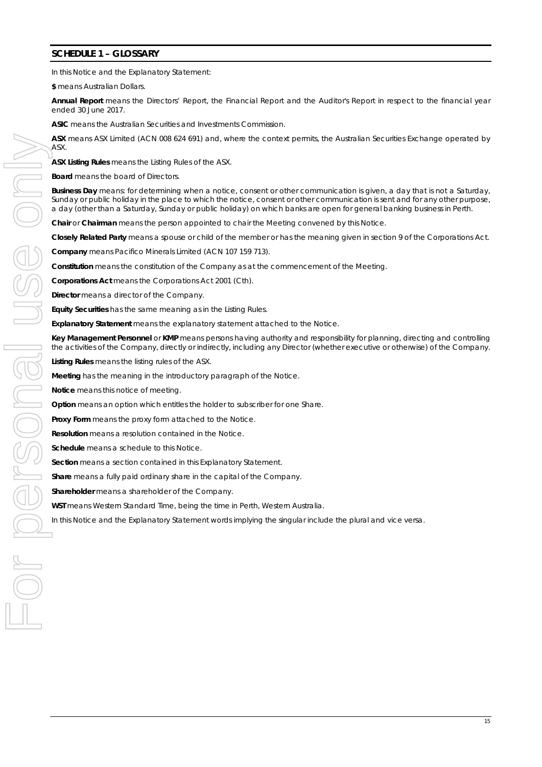#### **SCHEDULE 1 – GLOSSARY**

In this Notice and the Explanatory Statement:

**\$** means Australian Dollars.

**Annual Report** means the Directors' Report, the Financial Report and the Auditor's Report in respect to the financial year ended 30 June 2017.

**ASIC** means the Australian Securities and Investments Commission.

**ASX** means ASX Limited (ACN 008 624 691) and, where the context permits, the Australian Securities Exchange operated by **ASX** 

**ASX Listing Rules** means the Listing Rules of the ASX.

**Board** means the board of Directors.

**Business Day** means: for determining when a notice, consent or other communication is given, a day that is not a Saturday, Sunday or public holiday in the place to which the notice, consent or other communication is sent and for any other purpose, a day (other than a Saturday, Sunday or public holiday) on which banks are open for general banking business in Perth.

**Chair** or **Chairman** means the person appointed to chair the Meeting convened by this Notice.

**Closely Related Party** means a spouse or child of the member or has the meaning given in section 9 of the Corporations Act.

**Company** means Pacifico Minerals Limited (ACN 107 159 713).

**Constitution** means the constitution of the Company as at the commencement of the Meeting.

**Corporations Act** means the *Corporations Act 2001* (Cth).

**Director** means a director of the Company.

**Equity Securities** has the same meaning as in the Listing Rules.

**Explanatory Statement** means the explanatory statement attached to the Notice.

**Key Management Personnel** or **KMP** means persons having authority and responsibility for planning, directing and controlling the activities of the Company, directly or indirectly, including any Director (whether executive or otherwise) of the Company.

**Listing Rules** means the listing rules of the ASX.

**Meeting** has the meaning in the introductory paragraph of the Notice.

**Notice** means this notice of meeting.

**Option** means an option which entitles the holder to subscriber for one Share.

**Proxy Form** means the proxy form attached to the Notice.

**Resolution** means a resolution contained in the Notice.

**Schedule** means a schedule to this Notice.

**Section** means a section contained in this Explanatory Statement.

**Share** means a fully paid ordinary share in the capital of the Company.

**Shareholder** means a shareholder of the Company.

**WST** means Western Standard Time, being the time in Perth, Western Australia.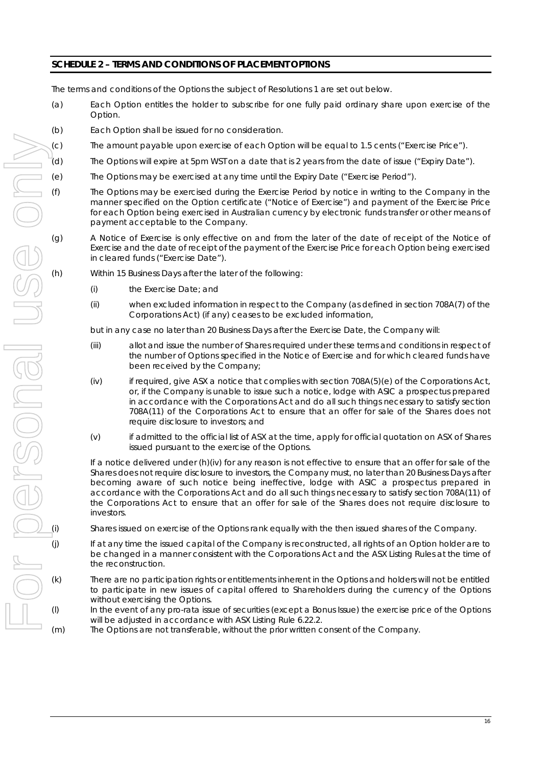# **SCHEDULE 2 – TERMS AND CONDITIONS OF PLACEMENT OPTIONS**

The terms and conditions of the Options the subject of Resolutions 1 are set out below.

- (a) Each Option entitles the holder to subscribe for one fully paid ordinary share upon exercise of the Option.
- (b) Each Option shall be issued for no consideration.
- (c) The amount payable upon exercise of each Option will be equal to 1.5 cents ("Exercise Price").
- (d) The Options will expire at 5pm WST on a date that is 2 years from the date of issue ("Expiry Date").
- (e) The Options may be exercised at any time until the Expiry Date ("Exercise Period").
- (f) The Options may be exercised during the Exercise Period by notice in writing to the Company in the manner specified on the Option certificate ("Notice of Exercise") and payment of the Exercise Price for each Option being exercised in Australian currency by electronic funds transfer or other means of payment acceptable to the Company.
- (g) A Notice of Exercise is only effective on and from the later of the date of receipt of the Notice of Exercise and the date of receipt of the payment of the Exercise Price for each Option being exercised in cleared funds ("Exercise Date").
- (h) Within 15 Business Days after the later of the following:
	- (i) the Exercise Date; and
	- (ii) when excluded information in respect to the Company (as defined in section 708A(7) of the Corporations Act) (if any) ceases to be excluded information,

but in any case no later than 20 Business Days after the Exercise Date, the Company will:

- (iii) allot and issue the number of Shares required under these terms and conditions in respect of the number of Options specified in the Notice of Exercise and for which cleared funds have been received by the Company;
- (iv) if required, give ASX a notice that complies with section 708A(5)(e) of the Corporations Act, or, if the Company is unable to issue such a notice, lodge with ASIC a prospectus prepared in accordance with the Corporations Act and do all such things necessary to satisfy section 708A(11) of the Corporations Act to ensure that an offer for sale of the Shares does not require disclosure to investors; and
- (v) if admitted to the official list of ASX at the time, apply for official quotation on ASX of Shares issued pursuant to the exercise of the Options.

If a notice delivered under (h)(iv) for any reason is not effective to ensure that an offer for sale of the Shares does not require disclosure to investors, the Company must, no later than 20 Business Days after becoming aware of such notice being ineffective, lodge with ASIC a prospectus prepared in accordance with the Corporations Act and do all such things necessary to satisfy section 708A(11) of the Corporations Act to ensure that an offer for sale of the Shares does not require disclosure to investors.

Shares issued on exercise of the Options rank equally with the then issued shares of the Company.

- (j) If at any time the issued capital of the Company is reconstructed, all rights of an Option holder are to be changed in a manner consistent with the Corporations Act and the ASX Listing Rules at the time of the reconstruction.
- (k) There are no participation rights or entitlements inherent in the Options and holders will not be entitled to participate in new issues of capital offered to Shareholders during the currency of the Options without exercising the Options.
- (l) In the event of any pro-rata issue of securities (except a Bonus Issue) the exercise price of the Options will be adjusted in accordance with ASX Listing Rule 6.22.2.
	-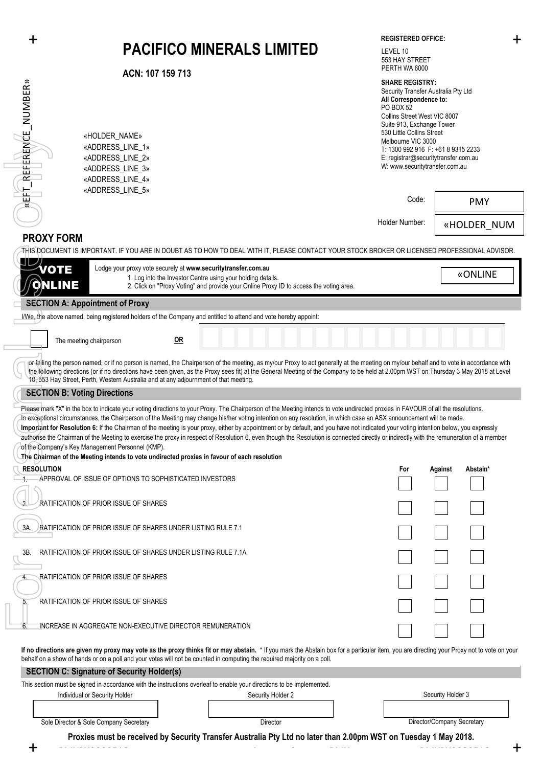|                                                                                                                                                                                                                                                                                                                                                                                                                                                                                                                                                                                                                                                                                                                                                                                                                                                                                                | 十                                                                                                                                     | <b>PACIFICO MINERALS LIMITED</b>                                                                                                                                                                                       | <b>REGISTERED OFFICE:</b><br>LEVEL 10<br>553 HAY STREET<br>PERTH WA 6000                                                                                                                                                                                                                                                                    | ╉                          |  |  |  |
|------------------------------------------------------------------------------------------------------------------------------------------------------------------------------------------------------------------------------------------------------------------------------------------------------------------------------------------------------------------------------------------------------------------------------------------------------------------------------------------------------------------------------------------------------------------------------------------------------------------------------------------------------------------------------------------------------------------------------------------------------------------------------------------------------------------------------------------------------------------------------------------------|---------------------------------------------------------------------------------------------------------------------------------------|------------------------------------------------------------------------------------------------------------------------------------------------------------------------------------------------------------------------|---------------------------------------------------------------------------------------------------------------------------------------------------------------------------------------------------------------------------------------------------------------------------------------------------------------------------------------------|----------------------------|--|--|--|
| EFIT_REFERENCE_NUMBER»                                                                                                                                                                                                                                                                                                                                                                                                                                                                                                                                                                                                                                                                                                                                                                                                                                                                         | ACN: 107 159 713<br>«HOLDER NAME»<br>«ADDRESS LINE 1»<br>«ADDRESS_LINE_2»<br>«ADDRESS_LINE_3»<br>«ADDRESS_LINE_4»<br>«ADDRESS_LINE_5» |                                                                                                                                                                                                                        | <b>SHARE REGISTRY:</b><br>Security Transfer Australia Pty Ltd<br>All Correspondence to:<br><b>PO BOX 52</b><br>Collins Street West VIC 8007<br>Suite 913, Exchange Tower<br>530 Little Collins Street<br>Melbourne VIC 3000<br>T: 1300 992 916 F: +61 8 9315 2233<br>E: registrar@securitytransfer.com.au<br>W: www.securitytransfer.com.au |                            |  |  |  |
|                                                                                                                                                                                                                                                                                                                                                                                                                                                                                                                                                                                                                                                                                                                                                                                                                                                                                                |                                                                                                                                       |                                                                                                                                                                                                                        | Code:                                                                                                                                                                                                                                                                                                                                       | <b>PMY</b>                 |  |  |  |
|                                                                                                                                                                                                                                                                                                                                                                                                                                                                                                                                                                                                                                                                                                                                                                                                                                                                                                |                                                                                                                                       |                                                                                                                                                                                                                        | Holder Number:                                                                                                                                                                                                                                                                                                                              | «HOLDER NUM                |  |  |  |
|                                                                                                                                                                                                                                                                                                                                                                                                                                                                                                                                                                                                                                                                                                                                                                                                                                                                                                | <b>PROXY FORM</b>                                                                                                                     | THIS DOCUMENT IS IMPORTANT. IF YOU ARE IN DOUBT AS TO HOW TO DEAL WITH IT, PLEASE CONTACT YOUR STOCK BROKER OR LICENSED PROFESSIONAL ADVISOR.                                                                          |                                                                                                                                                                                                                                                                                                                                             |                            |  |  |  |
|                                                                                                                                                                                                                                                                                                                                                                                                                                                                                                                                                                                                                                                                                                                                                                                                                                                                                                | VOTE<br><b>NLINE</b>                                                                                                                  | Lodge your proxy vote securely at www.securitytransfer.com.au<br>1. Log into the Investor Centre using your holding details.<br>2. Click on "Proxy Voting" and provide your Online Proxy ID to access the voting area. |                                                                                                                                                                                                                                                                                                                                             | «ONLINE                    |  |  |  |
|                                                                                                                                                                                                                                                                                                                                                                                                                                                                                                                                                                                                                                                                                                                                                                                                                                                                                                | <b>SECTION A: Appointment of Proxy</b>                                                                                                | I/We, the above named, being registered holders of the Company and entitled to attend and vote hereby appoint:                                                                                                         |                                                                                                                                                                                                                                                                                                                                             |                            |  |  |  |
|                                                                                                                                                                                                                                                                                                                                                                                                                                                                                                                                                                                                                                                                                                                                                                                                                                                                                                | The meeting chairperson                                                                                                               | $OR$                                                                                                                                                                                                                   |                                                                                                                                                                                                                                                                                                                                             |                            |  |  |  |
| or failing the person named, or if no person is named, the Chairperson of the meeting, as my/our Proxy to act generally at the meeting on my/our behalf and to vote in accordance with<br>the following directions (or if no directions have been given, as the Proxy sees fit) at the General Meeting of the Company to be held at 2.00pm WST on Thursday 3 May 2018 at Level<br>10, 553 Hay Street, Perth, Western Australia and at any adjournment of that meeting.                                                                                                                                                                                                                                                                                                                                                                                                                         |                                                                                                                                       |                                                                                                                                                                                                                        |                                                                                                                                                                                                                                                                                                                                             |                            |  |  |  |
|                                                                                                                                                                                                                                                                                                                                                                                                                                                                                                                                                                                                                                                                                                                                                                                                                                                                                                | <b>SECTION B: Voting Directions</b>                                                                                                   |                                                                                                                                                                                                                        |                                                                                                                                                                                                                                                                                                                                             |                            |  |  |  |
| Please mark "X" in the box to indicate your voting directions to your Proxy. The Chairperson of the Meeting intends to vote undirected proxies in FAVOUR of all the resolutions.<br>In exceptional circumstances, the Chairperson of the Meeting may change his/her voting intention on any resolution, in which case an ASX announcement will be made.<br>Important for Resolution 6: If the Chairman of the meeting is your proxy, either by appointment or by default, and you have not indicated your voting intention below, you expressly<br>authorise the Chairman of the Meeting to exercise the proxy in respect of Resolution 6, even though the Resolution is connected directly or indirectly with the remuneration of a member<br>of the Company's Key Management Personnel (KMP).<br>The Chairman of the Meeting intends to vote undirected proxies in favour of each resolution |                                                                                                                                       |                                                                                                                                                                                                                        |                                                                                                                                                                                                                                                                                                                                             |                            |  |  |  |
|                                                                                                                                                                                                                                                                                                                                                                                                                                                                                                                                                                                                                                                                                                                                                                                                                                                                                                | <b>RESOLUTION</b><br>APPROVAL OF ISSUE OF OPTIONS TO SOPHISTICATED INVESTORS                                                          |                                                                                                                                                                                                                        | For                                                                                                                                                                                                                                                                                                                                         | Against<br>Abstain*        |  |  |  |
|                                                                                                                                                                                                                                                                                                                                                                                                                                                                                                                                                                                                                                                                                                                                                                                                                                                                                                |                                                                                                                                       |                                                                                                                                                                                                                        |                                                                                                                                                                                                                                                                                                                                             |                            |  |  |  |
|                                                                                                                                                                                                                                                                                                                                                                                                                                                                                                                                                                                                                                                                                                                                                                                                                                                                                                | RATIFICATION OF PRIOR ISSUE OF SHARES                                                                                                 |                                                                                                                                                                                                                        |                                                                                                                                                                                                                                                                                                                                             |                            |  |  |  |
| 3A.                                                                                                                                                                                                                                                                                                                                                                                                                                                                                                                                                                                                                                                                                                                                                                                                                                                                                            | <b>RATIFICATION OF PRIOR ISSUE OF SHARES UNDER LISTING RULE 7.1</b>                                                                   |                                                                                                                                                                                                                        |                                                                                                                                                                                                                                                                                                                                             |                            |  |  |  |
| ЗΒ.                                                                                                                                                                                                                                                                                                                                                                                                                                                                                                                                                                                                                                                                                                                                                                                                                                                                                            | RATIFICATION OF PRIOR ISSUE OF SHARES UNDER LISTING RULE 7.1A                                                                         |                                                                                                                                                                                                                        |                                                                                                                                                                                                                                                                                                                                             |                            |  |  |  |
|                                                                                                                                                                                                                                                                                                                                                                                                                                                                                                                                                                                                                                                                                                                                                                                                                                                                                                | RATIFICATION OF PRIOR ISSUE OF SHARES                                                                                                 |                                                                                                                                                                                                                        |                                                                                                                                                                                                                                                                                                                                             |                            |  |  |  |
| 5.                                                                                                                                                                                                                                                                                                                                                                                                                                                                                                                                                                                                                                                                                                                                                                                                                                                                                             | RATIFICATION OF PRIOR ISSUE OF SHARES                                                                                                 |                                                                                                                                                                                                                        |                                                                                                                                                                                                                                                                                                                                             |                            |  |  |  |
| 6.                                                                                                                                                                                                                                                                                                                                                                                                                                                                                                                                                                                                                                                                                                                                                                                                                                                                                             | INCREASE IN AGGREGATE NON-EXECUTIVE DIRECTOR REMUNERATION                                                                             |                                                                                                                                                                                                                        |                                                                                                                                                                                                                                                                                                                                             |                            |  |  |  |
| If no directions are given my proxy may vote as the proxy thinks fit or may abstain. * If you mark the Abstain box for a particular item, you are directing your Proxy not to vote on your<br>behalf on a show of hands or on a poll and your votes will not be counted in computing the required majority on a poll.                                                                                                                                                                                                                                                                                                                                                                                                                                                                                                                                                                          |                                                                                                                                       |                                                                                                                                                                                                                        |                                                                                                                                                                                                                                                                                                                                             |                            |  |  |  |
|                                                                                                                                                                                                                                                                                                                                                                                                                                                                                                                                                                                                                                                                                                                                                                                                                                                                                                | <b>SECTION C: Signature of Security Holder(s)</b>                                                                                     |                                                                                                                                                                                                                        |                                                                                                                                                                                                                                                                                                                                             |                            |  |  |  |
|                                                                                                                                                                                                                                                                                                                                                                                                                                                                                                                                                                                                                                                                                                                                                                                                                                                                                                | Individual or Security Holder                                                                                                         | This section must be signed in accordance with the instructions overleaf to enable your directions to be implemented.<br>Security Holder 2                                                                             |                                                                                                                                                                                                                                                                                                                                             | Security Holder 3          |  |  |  |
|                                                                                                                                                                                                                                                                                                                                                                                                                                                                                                                                                                                                                                                                                                                                                                                                                                                                                                | Sole Director & Sole Company Secretary                                                                                                | Director                                                                                                                                                                                                               |                                                                                                                                                                                                                                                                                                                                             | Director/Company Secretary |  |  |  |

+ + **Proxies must be received by Security Transfer Australia Pty Ltd no later than 2.00pm WST on Tuesday 1 May 2018.**

PMYPX2080518 12 PMYPX2080518 12 PMYPX2080518 12 PMYPX2080518 12 PMYPX2080518 12 PMYPX2080518 12 PMYPX2080518<br>PMYPX2080518 12 PMYPX2080518 12 PMYPX2080518 12 PMYPX2080518 12 PMYPX2080518 12 PMYPX2080518 12 PMYPX2080518 1